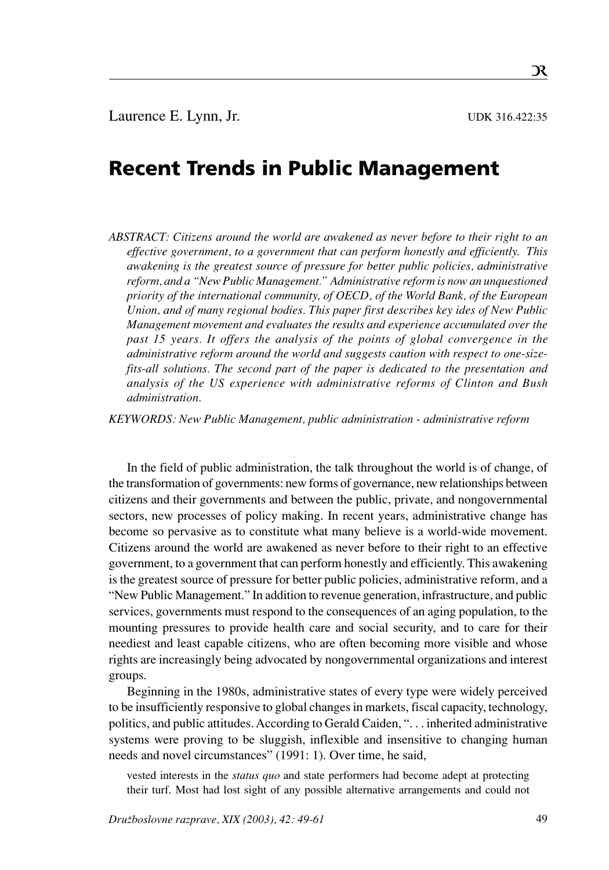# Recent Trends in Public Management

*ABSTRACT: Citizens around the world are awakened as never before to their right to an effective government, to a government that can perform honestly and efficiently. This awakening is the greatest source of pressure for better public policies, administrative reform, and a "New Public Management." Administrative reform is now an unquestioned priority of the international community, of OECD, of the World Bank, of the European Union, and of many regional bodies. This paper first describes key ides of New Public Management movement and evaluates the results and experience accumulated over the past 15 years. It offers the analysis of the points of global convergence in the administrative reform around the world and suggests caution with respect to one-sizefits-all solutions. The second part of the paper is dedicated to the presentation and analysis of the US experience with administrative reforms of Clinton and Bush administration.*

*KEYWORDS: New Public Management, public administration - administrative reform*

In the field of public administration, the talk throughout the world is of change, of the transformation of governments: new forms of governance, new relationships between citizens and their governments and between the public, private, and nongovernmental sectors, new processes of policy making. In recent years, administrative change has become so pervasive as to constitute what many believe is a world-wide movement. Citizens around the world are awakened as never before to their right to an effective government, to a government that can perform honestly and efficiently. This awakening is the greatest source of pressure for better public policies, administrative reform, and a "New Public Management." In addition to revenue generation, infrastructure, and public services, governments must respond to the consequences of an aging population, to the mounting pressures to provide health care and social security, and to care for their neediest and least capable citizens, who are often becoming more visible and whose rights are increasingly being advocated by nongovernmental organizations and interest groups.

Beginning in the 1980s, administrative states of every type were widely perceived to be insufficiently responsive to global changes in markets, fiscal capacity, technology, politics, and public attitudes. According to Gerald Caiden, ". . . inherited administrative systems were proving to be sluggish, inflexible and insensitive to changing human needs and novel circumstances" (1991: 1). Over time, he said,

vested interests in the *status quo* and state performers had become adept at protecting their turf. Most had lost sight of any possible alternative arrangements and could not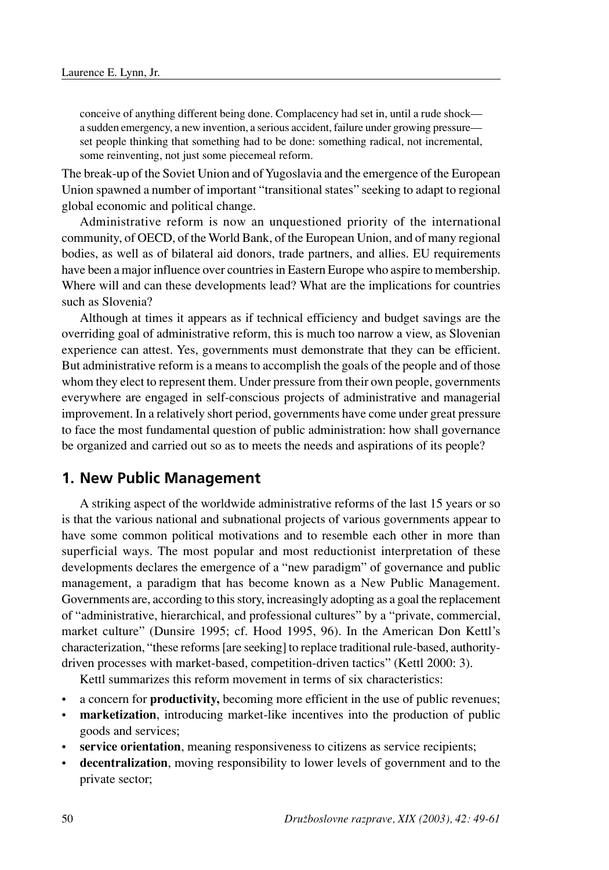conceive of anything different being done. Complacency had set in, until a rude shock a sudden emergency, a new invention, a serious accident, failure under growing pressure set people thinking that something had to be done: something radical, not incremental, some reinventing, not just some piecemeal reform.

The break-up of the Soviet Union and of Yugoslavia and the emergence of the European Union spawned a number of important "transitional states" seeking to adapt to regional global economic and political change.

Administrative reform is now an unquestioned priority of the international community, of OECD, of the World Bank, of the European Union, and of many regional bodies, as well as of bilateral aid donors, trade partners, and allies. EU requirements have been a major influence over countries in Eastern Europe who aspire to membership. Where will and can these developments lead? What are the implications for countries such as Slovenia?

Although at times it appears as if technical efficiency and budget savings are the overriding goal of administrative reform, this is much too narrow a view, as Slovenian experience can attest. Yes, governments must demonstrate that they can be efficient. But administrative reform is a means to accomplish the goals of the people and of those whom they elect to represent them. Under pressure from their own people, governments everywhere are engaged in self-conscious projects of administrative and managerial improvement. In a relatively short period, governments have come under great pressure to face the most fundamental question of public administration: how shall governance be organized and carried out so as to meets the needs and aspirations of its people?

#### **1. New Public Management**

A striking aspect of the worldwide administrative reforms of the last 15 years or so is that the various national and subnational projects of various governments appear to have some common political motivations and to resemble each other in more than superficial ways. The most popular and most reductionist interpretation of these developments declares the emergence of a "new paradigm" of governance and public management, a paradigm that has become known as a New Public Management. Governments are, according to this story, increasingly adopting as a goal the replacement of "administrative, hierarchical, and professional cultures" by a "private, commercial, market culture" (Dunsire 1995; cf. Hood 1995, 96). In the American Don Kettl's characterization, "these reforms [are seeking] to replace traditional rule-based, authoritydriven processes with market-based, competition-driven tactics" (Kettl 2000: 3).

Kettl summarizes this reform movement in terms of six characteristics:

- a concern for **productivity,** becoming more efficient in the use of public revenues;
- **marketization**, introducing market-like incentives into the production of public goods and services;
- service orientation, meaning responsiveness to citizens as service recipients;
- **decentralization**, moving responsibility to lower levels of government and to the private sector;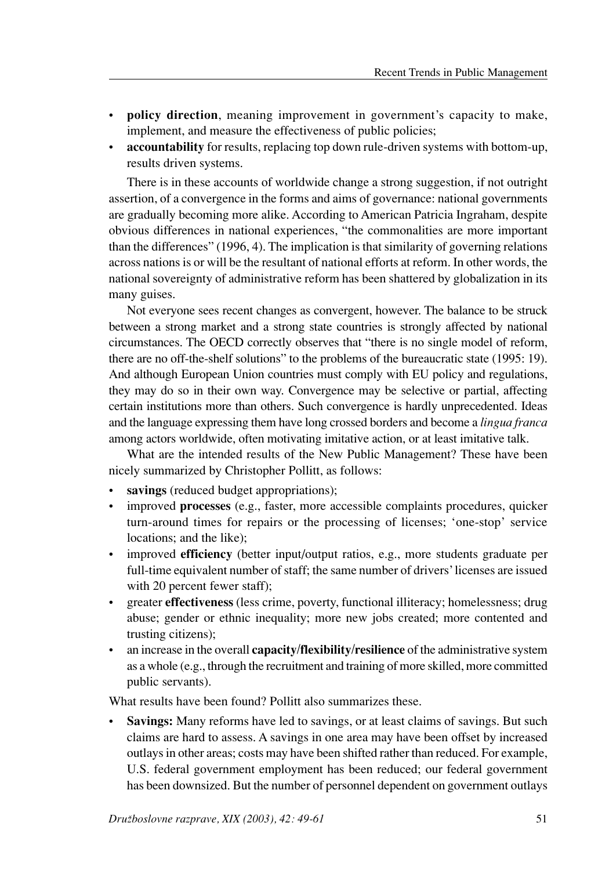- **policy direction**, meaning improvement in government's capacity to make, implement, and measure the effectiveness of public policies;
- **accountability** for results, replacing top down rule-driven systems with bottom-up, results driven systems.

There is in these accounts of worldwide change a strong suggestion, if not outright assertion, of a convergence in the forms and aims of governance: national governments are gradually becoming more alike. According to American Patricia Ingraham, despite obvious differences in national experiences, "the commonalities are more important than the differences" (1996, 4). The implication is that similarity of governing relations across nations is or will be the resultant of national efforts at reform. In other words, the national sovereignty of administrative reform has been shattered by globalization in its many guises.

Not everyone sees recent changes as convergent, however. The balance to be struck between a strong market and a strong state countries is strongly affected by national circumstances. The OECD correctly observes that "there is no single model of reform, there are no off-the-shelf solutions" to the problems of the bureaucratic state (1995: 19). And although European Union countries must comply with EU policy and regulations, they may do so in their own way. Convergence may be selective or partial, affecting certain institutions more than others. Such convergence is hardly unprecedented. Ideas and the language expressing them have long crossed borders and become a *lingua franca* among actors worldwide, often motivating imitative action, or at least imitative talk.

What are the intended results of the New Public Management? These have been nicely summarized by Christopher Pollitt, as follows:

- savings (reduced budget appropriations);
- improved **processes** (e.g., faster, more accessible complaints procedures, quicker turn-around times for repairs or the processing of licenses; 'one-stop' service locations; and the like);
- improved **efficiency** (better input/output ratios, e.g., more students graduate per full-time equivalent number of staff; the same number of drivers' licenses are issued with 20 percent fewer staff);
- greater **effectiveness** (less crime, poverty, functional illiteracy; homelessness; drug abuse; gender or ethnic inequality; more new jobs created; more contented and trusting citizens);
- an increase in the overall **capacity/flexibility/resilience** of the administrative system as a whole (e.g., through the recruitment and training of more skilled, more committed public servants).

What results have been found? Pollitt also summarizes these.

• **Savings:** Many reforms have led to savings, or at least claims of savings. But such claims are hard to assess. A savings in one area may have been offset by increased outlays in other areas; costs may have been shifted rather than reduced. For example, U.S. federal government employment has been reduced; our federal government has been downsized. But the number of personnel dependent on government outlays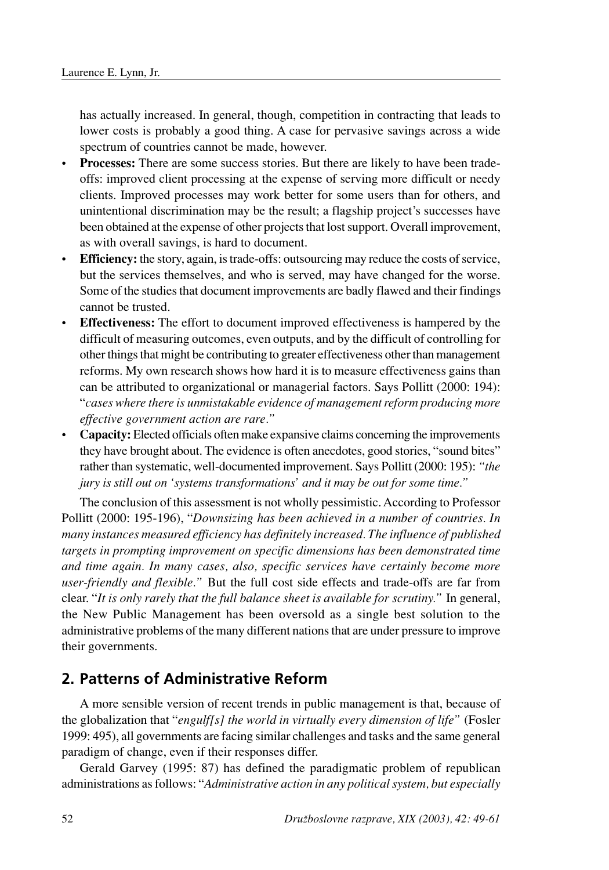has actually increased. In general, though, competition in contracting that leads to lower costs is probably a good thing. A case for pervasive savings across a wide spectrum of countries cannot be made, however.

- Processes: There are some success stories. But there are likely to have been tradeoffs: improved client processing at the expense of serving more difficult or needy clients. Improved processes may work better for some users than for others, and unintentional discrimination may be the result; a flagship project's successes have been obtained at the expense of other projects that lost support. Overall improvement, as with overall savings, is hard to document.
- **Efficiency:** the story, again, is trade-offs: outsourcing may reduce the costs of service, but the services themselves, and who is served, may have changed for the worse. Some of the studies that document improvements are badly flawed and their findings cannot be trusted.
- **Effectiveness:** The effort to document improved effectiveness is hampered by the difficult of measuring outcomes, even outputs, and by the difficult of controlling for other things that might be contributing to greater effectiveness other than management reforms. My own research shows how hard it is to measure effectiveness gains than can be attributed to organizational or managerial factors. Says Pollitt (2000: 194): "*cases where there is unmistakable evidence of management reform producing more effective government action are rare."*
- **Capacity:** Elected officials often make expansive claims concerning the improvements they have brought about. The evidence is often anecdotes, good stories, "sound bites" rather than systematic, well-documented improvement. Says Pollitt (2000: 195): *"the jury is still out on 'systems transformations' and it may be out for some time."*

The conclusion of this assessment is not wholly pessimistic. According to Professor Pollitt (2000: 195-196), "*Downsizing has been achieved in a number of countries. In many instances measured efficiency has definitely increased. The influence of published targets in prompting improvement on specific dimensions has been demonstrated time and time again. In many cases, also, specific services have certainly become more user-friendly and flexible."* But the full cost side effects and trade-offs are far from clear. "*It is only rarely that the full balance sheet is available for scrutiny."* In general, the New Public Management has been oversold as a single best solution to the administrative problems of the many different nations that are under pressure to improve their governments.

## **2. Patterns of Administrative Reform**

A more sensible version of recent trends in public management is that, because of the globalization that "*engulf[s] the world in virtually every dimension of life"* (Fosler 1999: 495), all governments are facing similar challenges and tasks and the same general paradigm of change, even if their responses differ.

Gerald Garvey (1995: 87) has defined the paradigmatic problem of republican administrations as follows: "*Administrative action in any political system, but especially*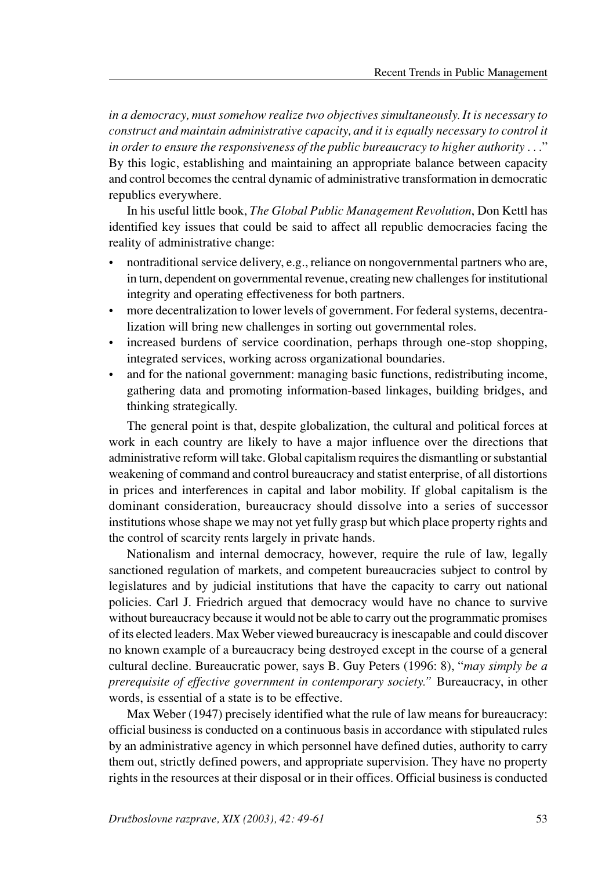*in a democracy, must somehow realize two objectives simultaneously. It is necessary to construct and maintain administrative capacity, and it is equally necessary to control it in order to ensure the responsiveness of the public bureaucracy to higher authority . . .*" By this logic, establishing and maintaining an appropriate balance between capacity and control becomes the central dynamic of administrative transformation in democratic republics everywhere.

In his useful little book, *The Global Public Management Revolution*, Don Kettl has identified key issues that could be said to affect all republic democracies facing the reality of administrative change:

- nontraditional service delivery, e.g., reliance on nongovernmental partners who are, in turn, dependent on governmental revenue, creating new challenges for institutional integrity and operating effectiveness for both partners.
- more decentralization to lower levels of government. For federal systems, decentralization will bring new challenges in sorting out governmental roles.
- increased burdens of service coordination, perhaps through one-stop shopping, integrated services, working across organizational boundaries.
- and for the national government: managing basic functions, redistributing income, gathering data and promoting information-based linkages, building bridges, and thinking strategically.

The general point is that, despite globalization, the cultural and political forces at work in each country are likely to have a major influence over the directions that administrative reform will take. Global capitalism requires the dismantling or substantial weakening of command and control bureaucracy and statist enterprise, of all distortions in prices and interferences in capital and labor mobility. If global capitalism is the dominant consideration, bureaucracy should dissolve into a series of successor institutions whose shape we may not yet fully grasp but which place property rights and the control of scarcity rents largely in private hands.

Nationalism and internal democracy, however, require the rule of law, legally sanctioned regulation of markets, and competent bureaucracies subject to control by legislatures and by judicial institutions that have the capacity to carry out national policies. Carl J. Friedrich argued that democracy would have no chance to survive without bureaucracy because it would not be able to carry out the programmatic promises of its elected leaders. Max Weber viewed bureaucracy is inescapable and could discover no known example of a bureaucracy being destroyed except in the course of a general cultural decline. Bureaucratic power, says B. Guy Peters (1996: 8), "*may simply be a prerequisite of effective government in contemporary society."* Bureaucracy, in other words, is essential of a state is to be effective.

Max Weber (1947) precisely identified what the rule of law means for bureaucracy: official business is conducted on a continuous basis in accordance with stipulated rules by an administrative agency in which personnel have defined duties, authority to carry them out, strictly defined powers, and appropriate supervision. They have no property rights in the resources at their disposal or in their offices. Official business is conducted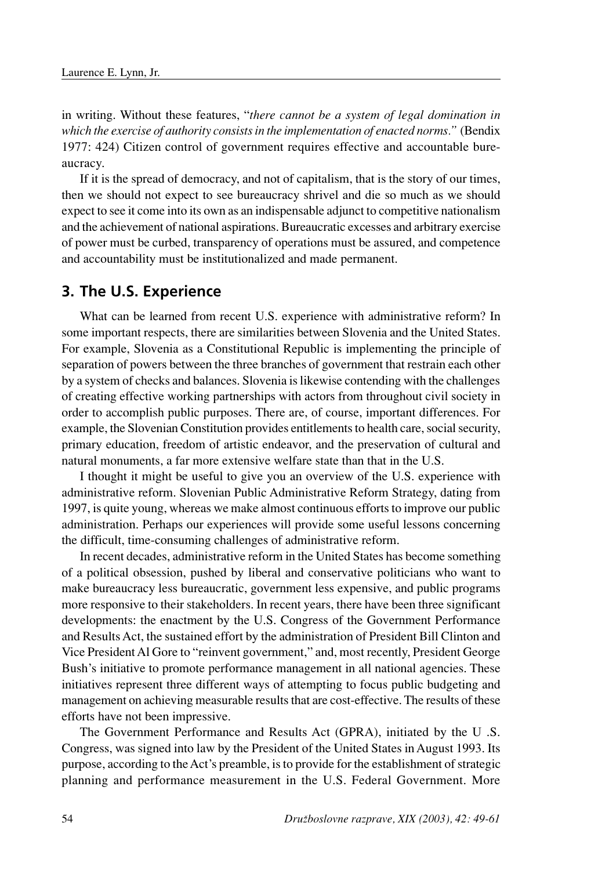in writing. Without these features, "*there cannot be a system of legal domination in which the exercise of authority consists in the implementation of enacted norms."* (Bendix 1977: 424) Citizen control of government requires effective and accountable bureaucracy.

If it is the spread of democracy, and not of capitalism, that is the story of our times, then we should not expect to see bureaucracy shrivel and die so much as we should expect to see it come into its own as an indispensable adjunct to competitive nationalism and the achievement of national aspirations. Bureaucratic excesses and arbitrary exercise of power must be curbed, transparency of operations must be assured, and competence and accountability must be institutionalized and made permanent.

#### **3. The U.S. Experience**

What can be learned from recent U.S. experience with administrative reform? In some important respects, there are similarities between Slovenia and the United States. For example, Slovenia as a Constitutional Republic is implementing the principle of separation of powers between the three branches of government that restrain each other by a system of checks and balances. Slovenia is likewise contending with the challenges of creating effective working partnerships with actors from throughout civil society in order to accomplish public purposes. There are, of course, important differences. For example, the Slovenian Constitution provides entitlements to health care, social security, primary education, freedom of artistic endeavor, and the preservation of cultural and natural monuments, a far more extensive welfare state than that in the U.S.

I thought it might be useful to give you an overview of the U.S. experience with administrative reform. Slovenian Public Administrative Reform Strategy, dating from 1997, is quite young, whereas we make almost continuous efforts to improve our public administration. Perhaps our experiences will provide some useful lessons concerning the difficult, time-consuming challenges of administrative reform.

In recent decades, administrative reform in the United States has become something of a political obsession, pushed by liberal and conservative politicians who want to make bureaucracy less bureaucratic, government less expensive, and public programs more responsive to their stakeholders. In recent years, there have been three significant developments: the enactment by the U.S. Congress of the Government Performance and Results Act, the sustained effort by the administration of President Bill Clinton and Vice President Al Gore to "reinvent government," and, most recently, President George Bush's initiative to promote performance management in all national agencies. These initiatives represent three different ways of attempting to focus public budgeting and management on achieving measurable results that are cost-effective. The results of these efforts have not been impressive.

The Government Performance and Results Act (GPRA), initiated by the U .S. Congress, was signed into law by the President of the United States in August 1993. Its purpose, according to the Act's preamble, is to provide for the establishment of strategic planning and performance measurement in the U.S. Federal Government. More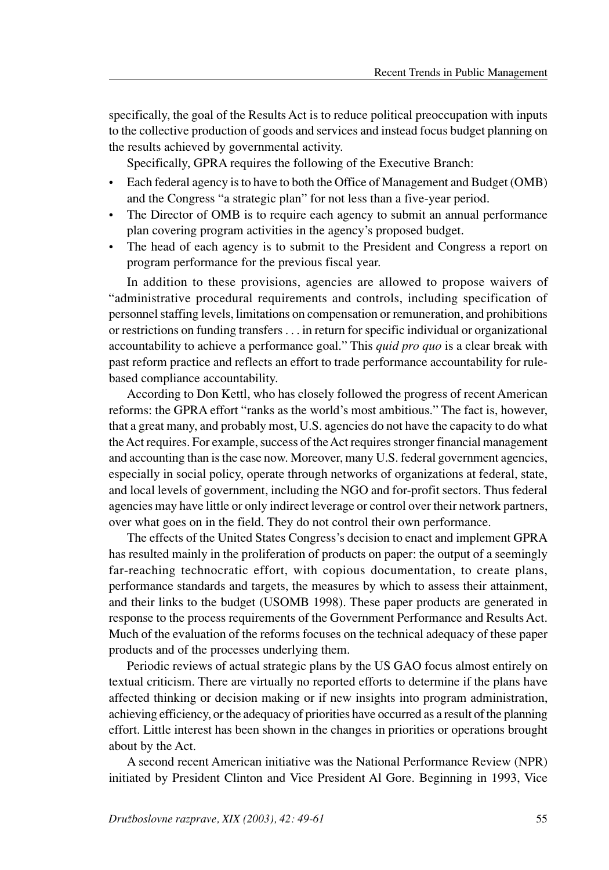specifically, the goal of the Results Act is to reduce political preoccupation with inputs to the collective production of goods and services and instead focus budget planning on the results achieved by governmental activity.

Specifically, GPRA requires the following of the Executive Branch:

- Each federal agency is to have to both the Office of Management and Budget (OMB) and the Congress "a strategic plan" for not less than a five-year period.
- The Director of OMB is to require each agency to submit an annual performance plan covering program activities in the agency's proposed budget.
- The head of each agency is to submit to the President and Congress a report on program performance for the previous fiscal year.

In addition to these provisions, agencies are allowed to propose waivers of "administrative procedural requirements and controls, including specification of personnel staffing levels, limitations on compensation or remuneration, and prohibitions or restrictions on funding transfers . . . in return for specific individual or organizational accountability to achieve a performance goal." This *quid pro quo* is a clear break with past reform practice and reflects an effort to trade performance accountability for rulebased compliance accountability.

According to Don Kettl, who has closely followed the progress of recent American reforms: the GPRA effort "ranks as the world's most ambitious." The fact is, however, that a great many, and probably most, U.S. agencies do not have the capacity to do what the Act requires. For example, success of the Act requires stronger financial management and accounting than is the case now. Moreover, many U.S. federal government agencies, especially in social policy, operate through networks of organizations at federal, state, and local levels of government, including the NGO and for-profit sectors. Thus federal agencies may have little or only indirect leverage or control over their network partners, over what goes on in the field. They do not control their own performance.

The effects of the United States Congress's decision to enact and implement GPRA has resulted mainly in the proliferation of products on paper: the output of a seemingly far-reaching technocratic effort, with copious documentation, to create plans, performance standards and targets, the measures by which to assess their attainment, and their links to the budget (USOMB 1998). These paper products are generated in response to the process requirements of the Government Performance and Results Act. Much of the evaluation of the reforms focuses on the technical adequacy of these paper products and of the processes underlying them.

Periodic reviews of actual strategic plans by the US GAO focus almost entirely on textual criticism. There are virtually no reported efforts to determine if the plans have affected thinking or decision making or if new insights into program administration, achieving efficiency, or the adequacy of priorities have occurred as a result of the planning effort. Little interest has been shown in the changes in priorities or operations brought about by the Act.

A second recent American initiative was the National Performance Review (NPR) initiated by President Clinton and Vice President Al Gore. Beginning in 1993, Vice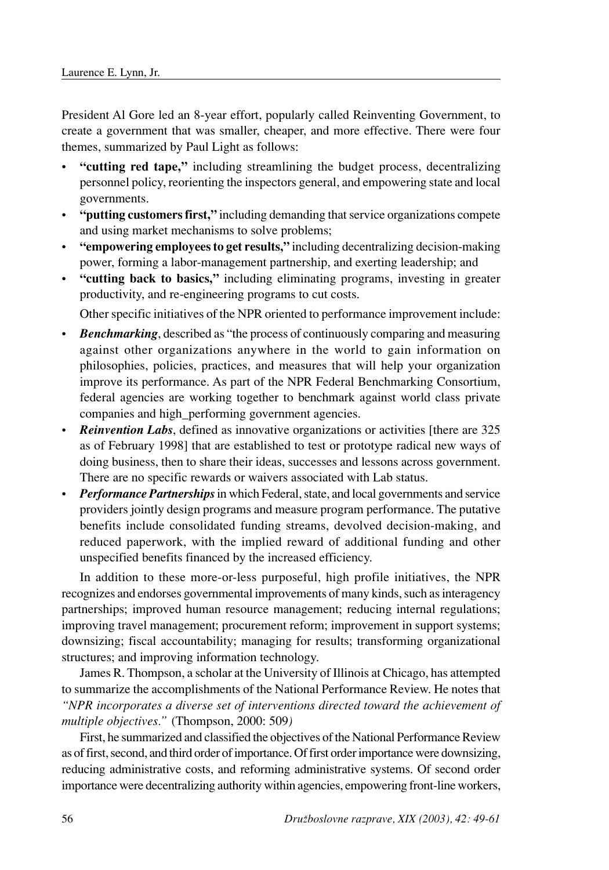President Al Gore led an 8-year effort, popularly called Reinventing Government, to create a government that was smaller, cheaper, and more effective. There were four themes, summarized by Paul Light as follows:

- **"cutting red tape,"** including streamlining the budget process, decentralizing personnel policy, reorienting the inspectors general, and empowering state and local governments.
- **"putting customers first,"** including demanding that service organizations compete and using market mechanisms to solve problems;
- **"empowering employees to get results,"** including decentralizing decision-making power, forming a labor-management partnership, and exerting leadership; and
- **"cutting back to basics,"** including eliminating programs, investing in greater productivity, and re-engineering programs to cut costs.

Other specific initiatives of the NPR oriented to performance improvement include:

- *Benchmarking*, described as "the process of continuously comparing and measuring against other organizations anywhere in the world to gain information on philosophies, policies, practices, and measures that will help your organization improve its performance. As part of the NPR Federal Benchmarking Consortium, federal agencies are working together to benchmark against world class private companies and high\_performing government agencies.
- **Reinvention Labs**, defined as innovative organizations or activities [there are 325 as of February 1998] that are established to test or prototype radical new ways of doing business, then to share their ideas, successes and lessons across government. There are no specific rewards or waivers associated with Lab status.
- *Performance Partnerships* in which Federal, state, and local governments and service providers jointly design programs and measure program performance. The putative benefits include consolidated funding streams, devolved decision-making, and reduced paperwork, with the implied reward of additional funding and other unspecified benefits financed by the increased efficiency.

In addition to these more-or-less purposeful, high profile initiatives, the NPR recognizes and endorses governmental improvements of many kinds, such as interagency partnerships; improved human resource management; reducing internal regulations; improving travel management; procurement reform; improvement in support systems; downsizing; fiscal accountability; managing for results; transforming organizational structures; and improving information technology.

James R. Thompson, a scholar at the University of Illinois at Chicago, has attempted to summarize the accomplishments of the National Performance Review. He notes that *"NPR incorporates a diverse set of interventions directed toward the achievement of multiple objectives."* (Thompson, 2000: 509*)*

First, he summarized and classified the objectives of the National Performance Review as of first, second, and third order of importance. Of first order importance were downsizing, reducing administrative costs, and reforming administrative systems. Of second order importance were decentralizing authority within agencies, empowering front-line workers,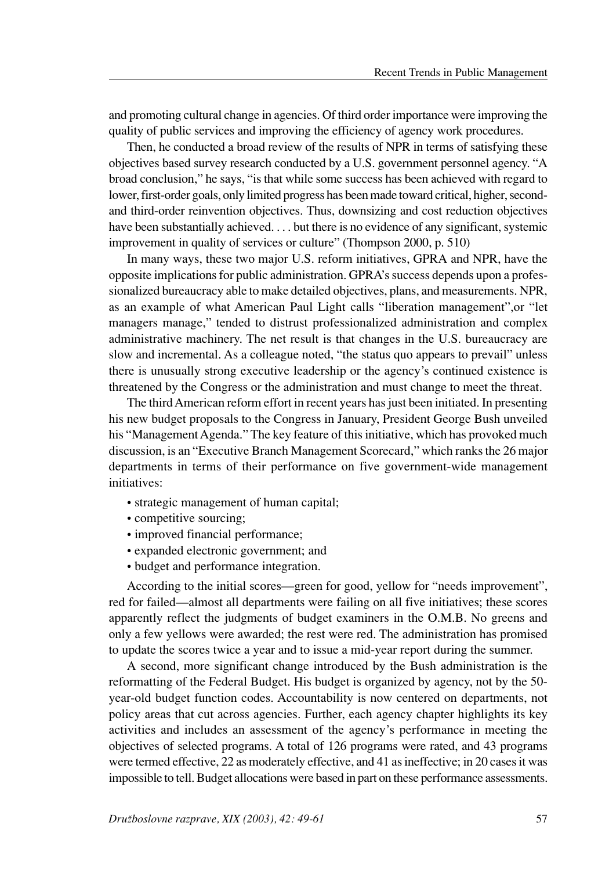and promoting cultural change in agencies. Of third order importance were improving the quality of public services and improving the efficiency of agency work procedures.

Then, he conducted a broad review of the results of NPR in terms of satisfying these objectives based survey research conducted by a U.S. government personnel agency. "A broad conclusion," he says, "is that while some success has been achieved with regard to lower, first-order goals, only limited progress has been made toward critical, higher, secondand third-order reinvention objectives. Thus, downsizing and cost reduction objectives have been substantially achieved. . . . but there is no evidence of any significant, systemic improvement in quality of services or culture" (Thompson 2000, p. 510)

In many ways, these two major U.S. reform initiatives, GPRA and NPR, have the opposite implications for public administration. GPRA's success depends upon a professionalized bureaucracy able to make detailed objectives, plans, and measurements. NPR, as an example of what American Paul Light calls "liberation management",or "let managers manage," tended to distrust professionalized administration and complex administrative machinery. The net result is that changes in the U.S. bureaucracy are slow and incremental. As a colleague noted, "the status quo appears to prevail" unless there is unusually strong executive leadership or the agency's continued existence is threatened by the Congress or the administration and must change to meet the threat.

The third American reform effort in recent years has just been initiated. In presenting his new budget proposals to the Congress in January, President George Bush unveiled his "Management Agenda." The key feature of this initiative, which has provoked much discussion, is an "Executive Branch Management Scorecard," which ranks the 26 major departments in terms of their performance on five government-wide management initiatives:

- strategic management of human capital;
- competitive sourcing;
- improved financial performance;
- expanded electronic government; and
- budget and performance integration.

According to the initial scores—green for good, yellow for "needs improvement", red for failed—almost all departments were failing on all five initiatives; these scores apparently reflect the judgments of budget examiners in the O.M.B. No greens and only a few yellows were awarded; the rest were red. The administration has promised to update the scores twice a year and to issue a mid-year report during the summer.

A second, more significant change introduced by the Bush administration is the reformatting of the Federal Budget. His budget is organized by agency, not by the 50 year-old budget function codes. Accountability is now centered on departments, not policy areas that cut across agencies. Further, each agency chapter highlights its key activities and includes an assessment of the agency's performance in meeting the objectives of selected programs. A total of 126 programs were rated, and 43 programs were termed effective, 22 as moderately effective, and 41 as ineffective; in 20 cases it was impossible to tell. Budget allocations were based in part on these performance assessments.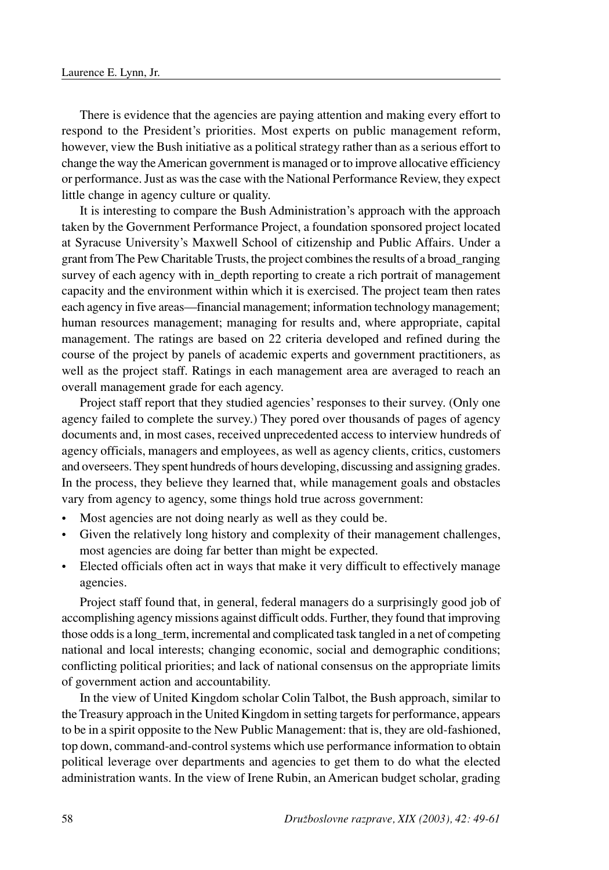There is evidence that the agencies are paying attention and making every effort to respond to the President's priorities. Most experts on public management reform, however, view the Bush initiative as a political strategy rather than as a serious effort to change the way the American government is managed or to improve allocative efficiency or performance. Just as was the case with the National Performance Review, they expect little change in agency culture or quality.

It is interesting to compare the Bush Administration's approach with the approach taken by the Government Performance Project, a foundation sponsored project located at Syracuse University's Maxwell School of citizenship and Public Affairs. Under a grant from The Pew Charitable Trusts, the project combines the results of a broad\_ranging survey of each agency with in depth reporting to create a rich portrait of management capacity and the environment within which it is exercised. The project team then rates each agency in five areas—financial management; information technology management; human resources management; managing for results and, where appropriate, capital management. The ratings are based on 22 criteria developed and refined during the course of the project by panels of academic experts and government practitioners, as well as the project staff. Ratings in each management area are averaged to reach an overall management grade for each agency.

Project staff report that they studied agencies' responses to their survey. (Only one agency failed to complete the survey.) They pored over thousands of pages of agency documents and, in most cases, received unprecedented access to interview hundreds of agency officials, managers and employees, as well as agency clients, critics, customers and overseers. They spent hundreds of hours developing, discussing and assigning grades. In the process, they believe they learned that, while management goals and obstacles vary from agency to agency, some things hold true across government:

- Most agencies are not doing nearly as well as they could be.
- Given the relatively long history and complexity of their management challenges, most agencies are doing far better than might be expected.
- Elected officials often act in ways that make it very difficult to effectively manage agencies.

Project staff found that, in general, federal managers do a surprisingly good job of accomplishing agency missions against difficult odds. Further, they found that improving those odds is a long\_term, incremental and complicated task tangled in a net of competing national and local interests; changing economic, social and demographic conditions; conflicting political priorities; and lack of national consensus on the appropriate limits of government action and accountability.

In the view of United Kingdom scholar Colin Talbot, the Bush approach, similar to the Treasury approach in the United Kingdom in setting targets for performance, appears to be in a spirit opposite to the New Public Management: that is, they are old-fashioned, top down, command-and-control systems which use performance information to obtain political leverage over departments and agencies to get them to do what the elected administration wants. In the view of Irene Rubin, an American budget scholar, grading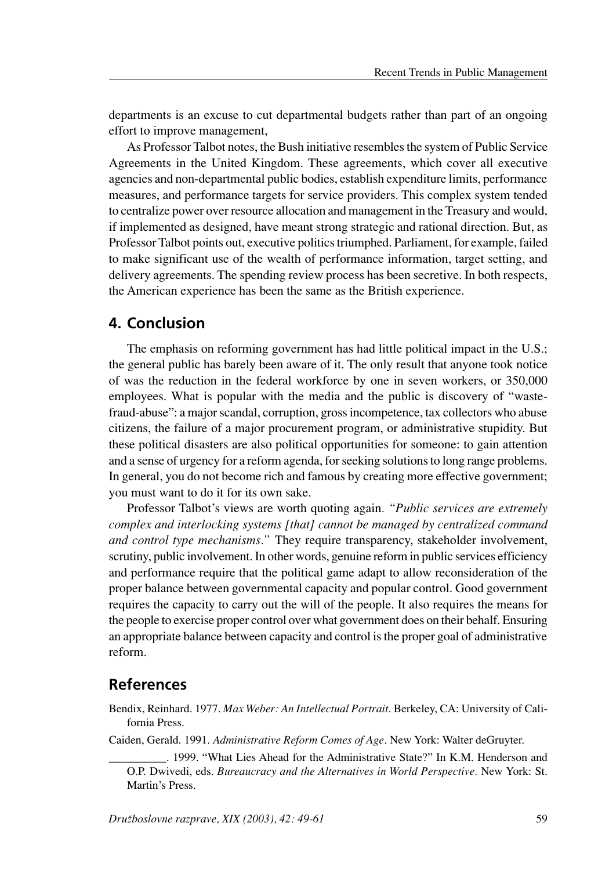departments is an excuse to cut departmental budgets rather than part of an ongoing effort to improve management,

As Professor Talbot notes, the Bush initiative resembles the system of Public Service Agreements in the United Kingdom. These agreements, which cover all executive agencies and non-departmental public bodies, establish expenditure limits, performance measures, and performance targets for service providers. This complex system tended to centralize power over resource allocation and management in the Treasury and would, if implemented as designed, have meant strong strategic and rational direction. But, as Professor Talbot points out, executive politics triumphed. Parliament, for example, failed to make significant use of the wealth of performance information, target setting, and delivery agreements. The spending review process has been secretive. In both respects, the American experience has been the same as the British experience.

### **4. Conclusion**

The emphasis on reforming government has had little political impact in the U.S.; the general public has barely been aware of it. The only result that anyone took notice of was the reduction in the federal workforce by one in seven workers, or 350,000 employees. What is popular with the media and the public is discovery of "wastefraud-abuse": a major scandal, corruption, gross incompetence, tax collectors who abuse citizens, the failure of a major procurement program, or administrative stupidity. But these political disasters are also political opportunities for someone: to gain attention and a sense of urgency for a reform agenda, for seeking solutions to long range problems. In general, you do not become rich and famous by creating more effective government; you must want to do it for its own sake.

Professor Talbot's views are worth quoting again*. "Public services are extremely complex and interlocking systems [that] cannot be managed by centralized command and control type mechanisms."* They require transparency, stakeholder involvement, scrutiny, public involvement. In other words, genuine reform in public services efficiency and performance require that the political game adapt to allow reconsideration of the proper balance between governmental capacity and popular control. Good government requires the capacity to carry out the will of the people. It also requires the means for the people to exercise proper control over what government does on their behalf. Ensuring an appropriate balance between capacity and control is the proper goal of administrative reform.

## **References**

Bendix, Reinhard. 1977. *Max Weber: An Intellectual Portrait*. Berkeley, CA: University of California Press.

Caiden, Gerald. 1991. *Administrative Reform Comes of Age*. New York: Walter deGruyter.

\_\_\_\_\_\_\_\_\_\_. 1999. "What Lies Ahead for the Administrative State?" In K.M. Henderson and O.P. Dwivedi, eds. *Bureaucracy and the Alternatives in World Perspective.* New York: St. Martin's Press.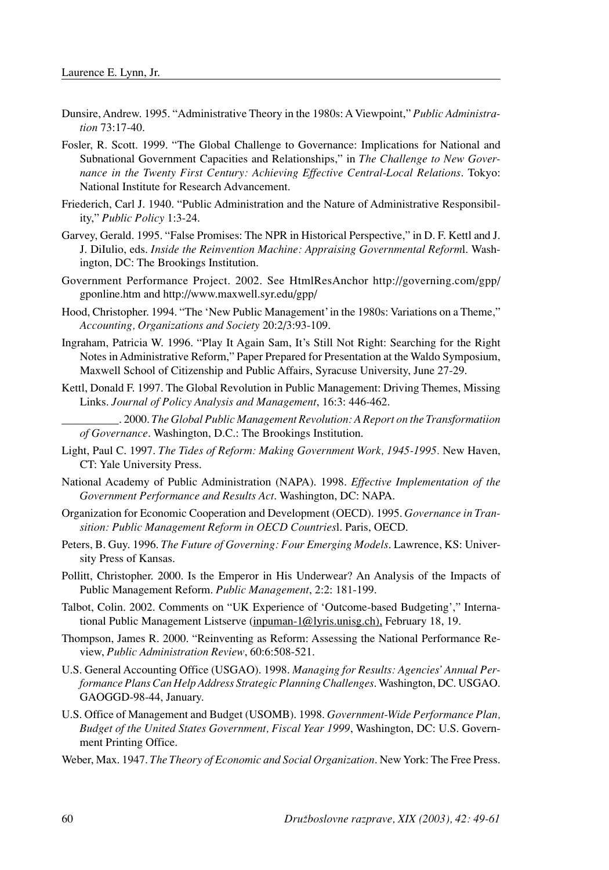- Dunsire, Andrew. 1995. "Administrative Theory in the 1980s: AViewpoint," *Public Administration* 73:17-40.
- Fosler, R. Scott. 1999. "The Global Challenge to Governance: Implications for National and Subnational Government Capacities and Relationships," in *The Challenge to New Governance in the Twenty First Century: Achieving Effective Central-Local Relations*. Tokyo: National Institute for Research Advancement.
- Friederich, Carl J. 1940. "Public Administration and the Nature of Administrative Responsibility," *Public Policy* 1:3-24.
- Garvey, Gerald. 1995. "False Promises: The NPR in Historical Perspective," in D. F. Kettl and J. J. DiIulio, eds. *Inside the Reinvention Machine: Appraising Governmental Reform*l. Washington, DC: The Brookings Institution.
- Government Performance Project. 2002. See HtmlResAnchor http://governing.com/gpp/ gponline.htm and http://www.maxwell.syr.edu/gpp/
- Hood, Christopher. 1994. "The 'New Public Management' in the 1980s: Variations on a Theme," *Accounting, Organizations and Society* 20:2/3:93-109.
- Ingraham, Patricia W. 1996. "Play It Again Sam, It's Still Not Right: Searching for the Right Notes in Administrative Reform," Paper Prepared for Presentation at the Waldo Symposium, Maxwell School of Citizenship and Public Affairs, Syracuse University, June 27-29.
- Kettl, Donald F. 1997. The Global Revolution in Public Management: Driving Themes, Missing Links. *Journal of Policy Analysis and Management*, 16:3: 446-462.
	- \_\_\_\_\_\_\_\_\_\_. 2000. *The Global Public Management Revolution: A Report on the Transformatiion of Governance*. Washington, D.C.: The Brookings Institution.
- Light, Paul C. 1997. *The Tides of Reform: Making Government Work, 1945-1995.* New Haven, CT: Yale University Press.
- National Academy of Public Administration (NAPA). 1998. *Effective Implementation of the Government Performance and Results Act*. Washington, DC: NAPA.
- Organization for Economic Cooperation and Development (OECD). 1995. *Governance in Transition: Public Management Reform in OECD Countries*l. Paris, OECD.
- Peters, B. Guy. 1996. *The Future of Governing: Four Emerging Models*. Lawrence, KS: University Press of Kansas.
- Pollitt, Christopher. 2000. Is the Emperor in His Underwear? An Analysis of the Impacts of Public Management Reform. *Public Management*, 2:2: 181-199.
- Talbot, Colin. 2002. Comments on "UK Experience of 'Outcome-based Budgeting'," International Public Management Listserve (inpuman-1@lyris.unisg.ch), February 18, 19.
- Thompson, James R. 2000. "Reinventing as Reform: Assessing the National Performance Review, *Public Administration Review*, 60:6:508-521.
- U.S. General Accounting Office (USGAO). 1998. *Managing for Results: Agencies'Annual Performance Plans Can Help Address Strategic Planning Challenges*. Washington, DC. USGAO. GAOGGD-98-44, January.
- U.S. Office of Management and Budget (USOMB). 1998. *Government-Wide Performance Plan, Budget of the United States Government, Fiscal Year 1999*, Washington, DC: U.S. Government Printing Office.

Weber, Max. 1947. *The Theory of Economic and Social Organization*. New York: The Free Press.